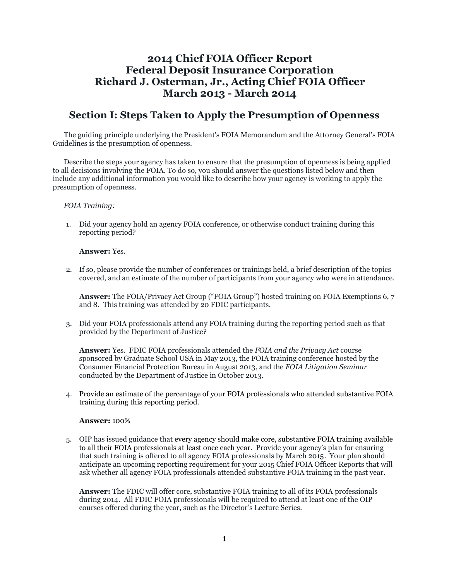# **2014 Chief FOIA Officer Report Federal Deposit Insurance Corporation Richard J. Osterman, Jr., Acting Chief FOIA Officer March 2013 - March 2014**

# **Section I: Steps Taken to Apply the Presumption of Openness**

The guiding principle underlying the President's FOIA Memorandum and the Attorney General's FOIA Guidelines is the presumption of openness.

Describe the steps your agency has taken to ensure that the presumption of openness is being applied to all decisions involving the FOIA. To do so, you should answer the questions listed below and then include any additional information you would like to describe how your agency is working to apply the presumption of openness.

### *FOIA Training:*

1. Did your agency hold an agency FOIA conference, or otherwise conduct training during this reporting period?

### **Answer:** Yes.

2. If so, please provide the number of conferences or trainings held, a brief description of the topics covered, and an estimate of the number of participants from your agency who were in attendance.

**Answer:** The FOIA/Privacy Act Group ("FOIA Group") hosted training on FOIA Exemptions 6, 7 and 8. This training was attended by 20 FDIC participants.

3. Did your FOIA professionals attend any FOIA training during the reporting period such as that provided by the Department of Justice?

**Answer:** Yes. FDIC FOIA professionals attended the *FOIA and the Privacy Act* course sponsored by Graduate School USA in May 2013, the FOIA training conference hosted by the Consumer Financial Protection Bureau in August 2013, and the *FOIA Litigation Seminar* conducted by the Department of Justice in October 2013.

4. Provide an estimate of the percentage of your FOIA professionals who attended substantive FOIA training during this reporting period.

### **Answer:** 100%

5. OIP has issued guidance that every agency should make core, substantive FOIA training available to all their FOIA professionals at least once each year. Provide your agency's plan for ensuring that such training is offered to all agency FOIA professionals by March 2015. Your plan should anticipate an upcoming reporting requirement for your 2015 Chief FOIA Officer Reports that will ask whether all agency FOIA professionals attended substantive FOIA training in the past year.

**Answer:** The FDIC will offer core, substantive FOIA training to all of its FOIA professionals during 2014. All FDIC FOIA professionals will be required to attend at least one of the OIP courses offered during the year, such as the Director's Lecture Series.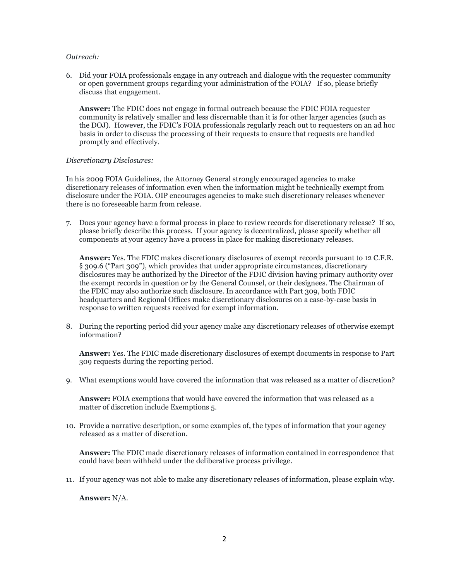### *Outreach:*

6. Did your FOIA professionals engage in any outreach and dialogue with the requester community or open government groups regarding your administration of the FOIA? If so, please briefly discuss that engagement.

**Answer:** The FDIC does not engage in formal outreach because the FDIC FOIA requester community is relatively smaller and less discernable than it is for other larger agencies (such as the DOJ). However, the FDIC's FOIA professionals regularly reach out to requesters on an ad hoc basis in order to discuss the processing of their requests to ensure that requests are handled promptly and effectively.

#### *Discretionary Disclosures:*

In his 2009 FOIA Guidelines, the Attorney General strongly encouraged agencies to make discretionary releases of information even when the information might be technically exempt from disclosure under the FOIA. OIP encourages agencies to make such discretionary releases whenever there is no foreseeable harm from release.

7. Does your agency have a formal process in place to review records for discretionary release? If so, please briefly describe this process. If your agency is decentralized, please specify whether all components at your agency have a process in place for making discretionary releases.

**Answer:** Yes. The FDIC makes discretionary disclosures of exempt records pursuant to 12 C.F.R. § 309.6 ("Part 309"), which provides that under appropriate circumstances, discretionary disclosures may be authorized by the Director of the FDIC division having primary authority over the exempt records in question or by the General Counsel, or their designees. The Chairman of the FDIC may also authorize such disclosure. In accordance with Part 309, both FDIC headquarters and Regional Offices make discretionary disclosures on a case-by-case basis in response to written requests received for exempt information.

8. During the reporting period did your agency make any discretionary releases of otherwise exempt information?

**Answer:** Yes. The FDIC made discretionary disclosures of exempt documents in response to Part 309 requests during the reporting period.

9. What exemptions would have covered the information that was released as a matter of discretion?

**Answer:** FOIA exemptions that would have covered the information that was released as a matter of discretion include Exemptions 5.

10. Provide a narrative description, or some examples of, the types of information that your agency released as a matter of discretion.

**Answer:** The FDIC made discretionary releases of information contained in correspondence that could have been withheld under the deliberative process privilege.

11. If your agency was not able to make any discretionary releases of information, please explain why.

**Answer:** N/A.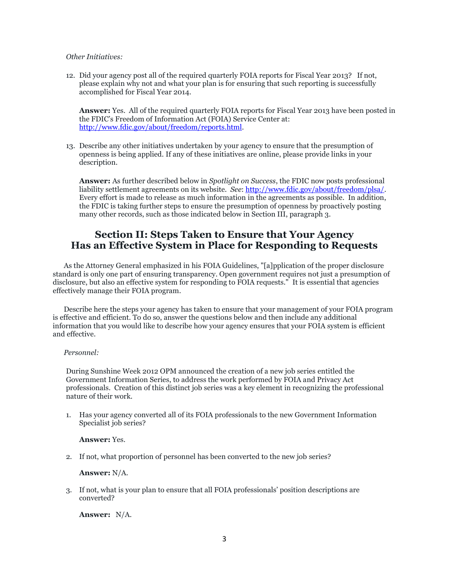#### *Other Initiatives:*

12. Did your agency post all of the required quarterly FOIA reports for Fiscal Year 2013? If not, please explain why not and what your plan is for ensuring that such reporting is successfully accomplished for Fiscal Year 2014.

**Answer:** Yes. All of the required quarterly FOIA reports for Fiscal Year 2013 have been posted in the FDIC's Freedom of Information Act (FOIA) Service Center at: [http://www.fdic.gov/about/freedom/reports.html.](http://www.fdic.gov/about/freedom/reports.html)

13. Describe any other initiatives undertaken by your agency to ensure that the presumption of openness is being applied. If any of these initiatives are online, please provide links in your description.

**Answer:** As further described below in *Spotlight on Success*, the FDIC now posts professional liability settlement agreements on its website. *See*: [http://www.fdic.gov/about/freedom/plsa/.](http://www.fdic.gov/about/freedom/plsa/) Every effort is made to release as much information in the agreements as possible. In addition, the FDIC is taking further steps to ensure the presumption of openness by proactively posting many other records, such as those indicated below in Section III, paragraph 3.

# **Section II: Steps Taken to Ensure that Your Agency Has an Effective System in Place for Responding to Requests**

As the Attorney General emphasized in his FOIA Guidelines, "[a]pplication of the proper disclosure standard is only one part of ensuring transparency. Open government requires not just a presumption of disclosure, but also an effective system for responding to FOIA requests." It is essential that agencies effectively manage their FOIA program.

Describe here the steps your agency has taken to ensure that your management of your FOIA program is effective and efficient. To do so, answer the questions below and then include any additional information that you would like to describe how your agency ensures that your FOIA system is efficient and effective.

### *Personnel:*

During Sunshine Week 2012 OPM announced the creation of a new job series entitled the Government Information Series, to address the work performed by FOIA and Privacy Act professionals. Creation of this distinct job series was a key element in recognizing the professional nature of their work.

1. Has your agency converted all of its FOIA professionals to the new Government Information Specialist job series?

#### **Answer:** Yes.

2. If not, what proportion of personnel has been converted to the new job series?

### **Answer:** N/A.

3. If not, what is your plan to ensure that all FOIA professionals' position descriptions are converted?

**Answer:** N/A.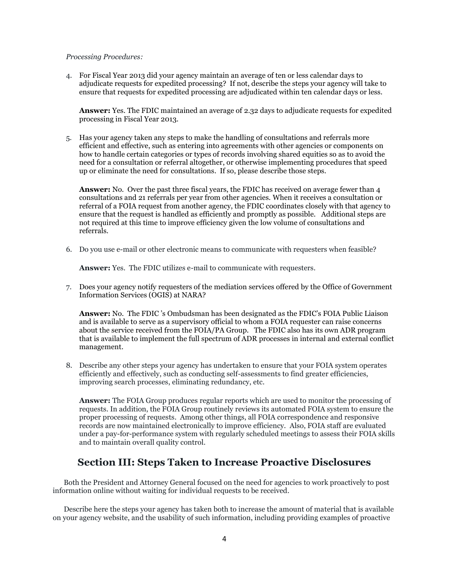#### *Processing Procedures:*

4. For Fiscal Year 2013 did your agency maintain an average of ten or less calendar days to adjudicate requests for expedited processing? If not, describe the steps your agency will take to ensure that requests for expedited processing are adjudicated within ten calendar days or less.

**Answer:** Yes. The FDIC maintained an average of 2.32 days to adjudicate requests for expedited processing in Fiscal Year 2013.

5. Has your agency taken any steps to make the handling of consultations and referrals more efficient and effective, such as entering into agreements with other agencies or components on how to handle certain categories or types of records involving shared equities so as to avoid the need for a consultation or referral altogether, or otherwise implementing procedures that speed up or eliminate the need for consultations. If so, please describe those steps.

**Answer:** No. Over the past three fiscal years, the FDIC has received on average fewer than 4 consultations and 21 referrals per year from other agencies. When it receives a consultation or referral of a FOIA request from another agency, the FDIC coordinates closely with that agency to ensure that the request is handled as efficiently and promptly as possible. Additional steps are not required at this time to improve efficiency given the low volume of consultations and referrals.

6. Do you use e-mail or other electronic means to communicate with requesters when feasible?

**Answer:** Yes. The FDIC utilizes e-mail to communicate with requesters.

7. Does your agency notify requesters of the mediation services offered by the Office of Government Information Services (OGIS) at NARA?

**Answer:** No. The FDIC 's Ombudsman has been designated as the FDIC's FOIA Public Liaison and is available to serve as a supervisory official to whom a FOIA requester can raise concerns about the service received from the FOIA/PA Group. The FDIC also has its own ADR program that is available to implement the full spectrum of ADR processes in internal and external conflict management.

8. Describe any other steps your agency has undertaken to ensure that your FOIA system operates efficiently and effectively, such as conducting self-assessments to find greater efficiencies, improving search processes, eliminating redundancy, etc.

**Answer:** The FOIA Group produces regular reports which are used to monitor the processing of requests. In addition, the FOIA Group routinely reviews its automated FOIA system to ensure the proper processing of requests. Among other things, all FOIA correspondence and responsive records are now maintained electronically to improve efficiency. Also, FOIA staff are evaluated under a pay-for-performance system with regularly scheduled meetings to assess their FOIA skills and to maintain overall quality control.

## **Section III: Steps Taken to Increase Proactive Disclosures**

Both the President and Attorney General focused on the need for agencies to work proactively to post information online without waiting for individual requests to be received.

Describe here the steps your agency has taken both to increase the amount of material that is available on your agency website, and the usability of such information, including providing examples of proactive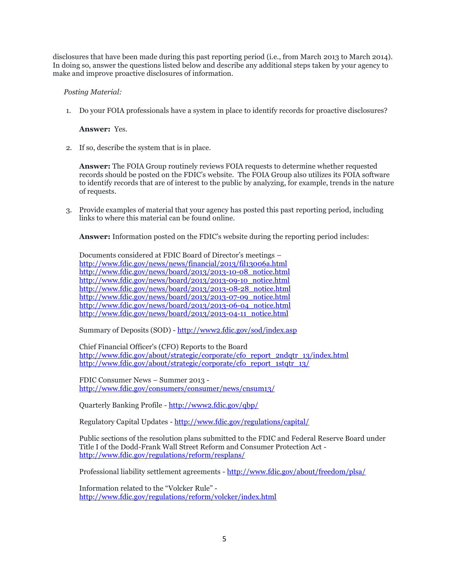disclosures that have been made during this past reporting period (i.e., from March 2013 to March 2014). In doing so, answer the questions listed below and describe any additional steps taken by your agency to make and improve proactive disclosures of information.

## *Posting Material:*

1. Do your FOIA professionals have a system in place to identify records for proactive disclosures?

**Answer:** Yes.

2. If so, describe the system that is in place.

**Answer:** The FOIA Group routinely reviews FOIA requests to determine whether requested records should be posted on the FDIC's website. The FOIA Group also utilizes its FOIA software to identify records that are of interest to the public by analyzing, for example, trends in the nature of requests.

3. Provide examples of material that your agency has posted this past reporting period, including links to where this material can be found online.

**Answer:** Information posted on the FDIC's website during the reporting period includes:

Documents considered at FDIC Board of Director's meetings – <http://www.fdic.gov/news/news/financial/2013/fil13006a.html> [http://www.fdic.gov/news/board/2013/2013-10-08\\_notice.html](http://www.fdic.gov/news/board/2013/2013-10-08_notice.html) [http://www.fdic.gov/news/board/2013/2013-09-10\\_notice.html](http://www.fdic.gov/news/board/2013/2013-09-10_notice.html) [http://www.fdic.gov/news/board/2013/2013-08-28\\_notice.html](http://www.fdic.gov/news/board/2013/2013-08-28_notice.html) [http://www.fdic.gov/news/board/2013/2013-07-09\\_notice.html](http://www.fdic.gov/news/board/2013/2013-07-09_notice.html) [http://www.fdic.gov/news/board/2013/2013-06-04\\_notice.html](http://www.fdic.gov/news/board/2013/2013-06-04_notice.html) [http://www.fdic.gov/news/board/2013/2013-04-11\\_notice.html](http://www.fdic.gov/news/board/2013/2013-04-11_notice.html)

Summary of Deposits (SOD) - <http://www2.fdic.gov/sod/index.asp>

Chief Financial Officer's (CFO) Reports to the Board [http://www.fdic.gov/about/strategic/corporate/cfo\\_report\\_2ndqtr\\_13/index.html](http://www.fdic.gov/about/strategic/corporate/cfo_report_2ndqtr_13/index.html) [http://www.fdic.gov/about/strategic/corporate/cfo\\_report\\_1stqtr\\_13/](http://www.fdic.gov/about/strategic/corporate/cfo_report_1stqtr_13/)

FDIC Consumer News – Summer 2013 <http://www.fdic.gov/consumers/consumer/news/cnsum13/>

Quarterly Banking Profile - <http://www2.fdic.gov/qbp/>

Regulatory Capital Updates - <http://www.fdic.gov/regulations/capital/>

Public sections of the resolution plans submitted to the FDIC and Federal Reserve Board under Title I of the Dodd-Frank Wall Street Reform and Consumer Protection Act <http://www.fdic.gov/regulations/reform/resplans/>

Professional liability settlement agreements - <http://www.fdic.gov/about/freedom/plsa/>

Information related to the "Volcker Rule" <http://www.fdic.gov/regulations/reform/volcker/index.html>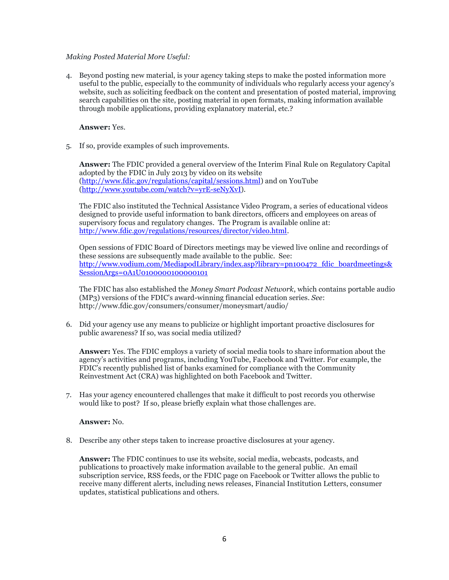## *Making Posted Material More Useful:*

4. Beyond posting new material, is your agency taking steps to make the posted information more useful to the public, especially to the community of individuals who regularly access your agency's website, such as soliciting feedback on the content and presentation of posted material, improving search capabilities on the site, posting material in open formats, making information available through mobile applications, providing explanatory material, etc.?

**Answer:** Yes.

5. If so, provide examples of such improvements.

**Answer:** The FDIC provided a general overview of the Interim Final Rule on Regulatory Capital adopted by the FDIC in July 2013 by video on its website [\(http://www.fdic.gov/regulations/capital/sessions.html\)](http://www.fdic.gov/regulations/capital/sessions.html) and on YouTube [\(http://www.youtube.com/watch?v=yrE-seNyXvI\)](http://www.youtube.com/watch?v=yrE-seNyXvI).

The FDIC also instituted the Technical Assistance Video Program, a series of educational videos designed to provide useful information to bank directors, officers and employees on areas of supervisory focus and regulatory changes. The Program is available online at: [http://www.fdic.gov/regulations/resources/director/video.html.](http://www.fdic.gov/regulations/resources/director/video.html)

Open sessions of FDIC Board of Directors meetings may be viewed live online and recordings of these sessions are subsequently made available to the public. See: [http://www.vodium.com/MediapodLibrary/index.asp?library=pn100472\\_fdic\\_boardmeetings&](http://www.vodium.com/MediapodLibrary/index.asp?library=pn100472_fdic_boardmeetings&SessionArgs=0A1U0100000100000101) [SessionArgs=0A1U0100000100000101](http://www.vodium.com/MediapodLibrary/index.asp?library=pn100472_fdic_boardmeetings&SessionArgs=0A1U0100000100000101)

The FDIC has also established the *Money Smart Podcast Network*, which contains portable audio (MP3) versions of the FDIC's award-winning financial education series. *See*: http://www.fdic.gov/consumers/consumer/moneysmart/audio/

6. Did your agency use any means to publicize or highlight important proactive disclosures for public awareness? If so, was social media utilized?

**Answer:** Yes. The FDIC employs a variety of social media tools to share information about the agency's activities and programs, including YouTube, Facebook and Twitter. For example, the FDIC's recently published list of banks examined for compliance with the Community Reinvestment Act (CRA) was highlighted on both Facebook and Twitter.

7. Has your agency encountered challenges that make it difficult to post records you otherwise would like to post? If so, please briefly explain what those challenges are.

### **Answer:** No.

8. Describe any other steps taken to increase proactive disclosures at your agency.

**Answer:** The FDIC continues to use its website, social media, webcasts, podcasts, and publications to proactively make information available to the general public. An email subscription service, RSS feeds, or the FDIC page on Facebook or Twitter allows the public to receive many different alerts, including news releases, Financial Institution Letters, consumer updates, statistical publications and others.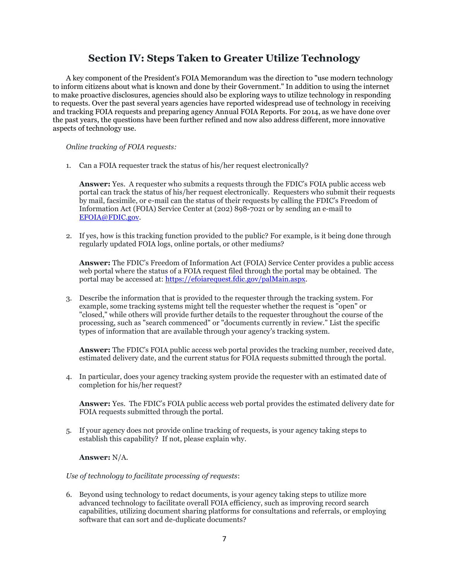# **Section IV: Steps Taken to Greater Utilize Technology**

A key component of the President's FOIA Memorandum was the direction to "use modern technology to inform citizens about what is known and done by their Government." In addition to using the internet to make proactive disclosures, agencies should also be exploring ways to utilize technology in responding to requests. Over the past several years agencies have reported widespread use of technology in receiving and tracking FOIA requests and preparing agency Annual FOIA Reports. For 2014, as we have done over the past years, the questions have been further refined and now also address different, more innovative aspects of technology use.

*Online tracking of FOIA requests:*

1. Can a FOIA requester track the status of his/her request electronically?

**Answer:** Yes. A requester who submits a requests through the FDIC's FOIA public access web portal can track the status of his/her request electronically. Requesters who submit their requests by mail, facsimile, or e-mail can the status of their requests by calling the FDIC's Freedom of Information Act (FOIA) Service Center at (202) 898-7021 or by sending an e-mail to [EFOIA@FDIC.gov.](mailto:EFOIA@FDIC.gov)

2. If yes, how is this tracking function provided to the public? For example, is it being done through regularly updated FOIA logs, online portals, or other mediums?

**Answer:** The FDIC's Freedom of Information Act (FOIA) Service Center provides a public access web portal where the status of a FOIA request filed through the portal may be obtained. The portal may be accessed at[: https://efoiarequest.fdic.gov/palMain.aspx.](https://efoiarequest.fdic.gov/palMain.aspx)

3. Describe the information that is provided to the requester through the tracking system. For example, some tracking systems might tell the requester whether the request is "open" or "closed," while others will provide further details to the requester throughout the course of the processing, such as "search commenced" or "documents currently in review." List the specific types of information that are available through your agency's tracking system.

**Answer:** The FDIC's FOIA public access web portal provides the tracking number, received date, estimated delivery date, and the current status for FOIA requests submitted through the portal.

4. In particular, does your agency tracking system provide the requester with an estimated date of completion for his/her request?

**Answer:** Yes. The FDIC's FOIA public access web portal provides the estimated delivery date for FOIA requests submitted through the portal.

5. If your agency does not provide online tracking of requests, is your agency taking steps to establish this capability? If not, please explain why.

**Answer:** N/A.

#### *Use of technology to facilitate processing of requests*:

6. Beyond using technology to redact documents, is your agency taking steps to utilize more advanced technology to facilitate overall FOIA efficiency, such as improving record search capabilities, utilizing document sharing platforms for consultations and referrals, or employing software that can sort and de-duplicate documents?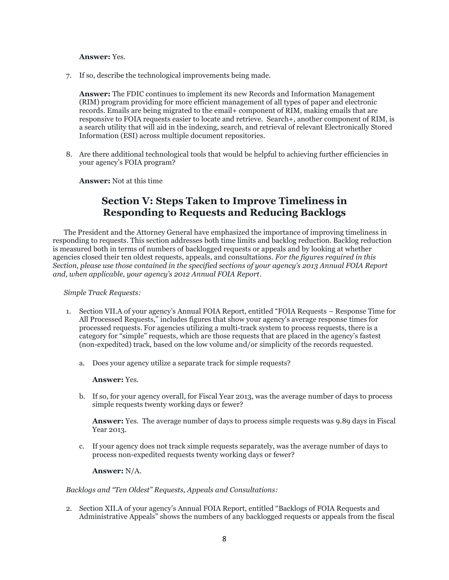#### **Answer:** Yes.

7. If so, describe the technological improvements being made.

**Answer:** The FDIC continues to implement its new Records and Information Management (RIM) program providing for more efficient management of all types of paper and electronic records. Emails are being migrated to the email+ component of RIM, making emails that are responsive to FOIA requests easier to locate and retrieve. Search+, another component of RIM, is a search utility that will aid in the indexing, search, and retrieval of relevant Electronically Stored Information (ESI) across multiple document repositories.

8. Are there additional technological tools that would be helpful to achieving further efficiencies in your agency's FOIA program?

**Answer:** Not at this time

# **Section V: Steps Taken to Improve Timeliness in Responding to Requests and Reducing Backlogs**

The President and the Attorney General have emphasized the importance of improving timeliness in responding to requests. This section addresses both time limits and backlog reduction. Backlog reduction is measured both in terms of numbers of backlogged requests or appeals and by looking at whether agencies closed their ten oldest requests, appeals, and consultations. *For the figures required in this Section, please use those contained in the specified sections of your agency's 2013 Annual FOIA Report and, when applicable, your agency's 2012 Annual FOIA Report.*

### *Simple Track Requests:*

- 1. Section VII.A of your agency's Annual FOIA Report, entitled "FOIA Requests Response Time for All Processed Requests," includes figures that show your agency's average response times for processed requests. For agencies utilizing a multi-track system to process requests, there is a category for "simple" requests, which are those requests that are placed in the agency's fastest (non-expedited) track, based on the low volume and/or simplicity of the records requested.
	- a. Does your agency utilize a separate track for simple requests?

#### **Answer:** Yes.

b. If so, for your agency overall, for Fiscal Year 2013, was the average number of days to process simple requests twenty working days or fewer?

**Answer:** Yes. The average number of days to process simple requests was 9.89 days in Fiscal Year 2013.

c. If your agency does not track simple requests separately, was the average number of days to process non-expedited requests twenty working days or fewer?

**Answer:** N/A.

### *Backlogs and "Ten Oldest" Requests, Appeals and Consultations:*

2. Section XII.A of your agency's Annual FOIA Report, entitled "Backlogs of FOIA Requests and Administrative Appeals" shows the numbers of any backlogged requests or appeals from the fiscal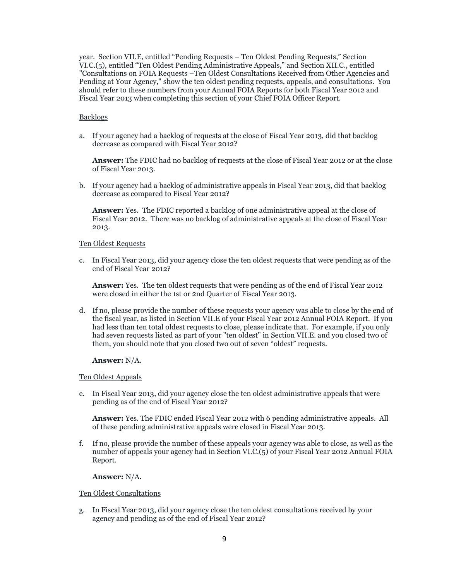year. Section VII.E, entitled "Pending Requests – Ten Oldest Pending Requests," Section VI.C.(5), entitled "Ten Oldest Pending Administrative Appeals," and Section XII.C., entitled "Consultations on FOIA Requests –Ten Oldest Consultations Received from Other Agencies and Pending at Your Agency," show the ten oldest pending requests, appeals, and consultations. You should refer to these numbers from your Annual FOIA Reports for both Fiscal Year 2012 and Fiscal Year 2013 when completing this section of your Chief FOIA Officer Report.

## Backlogs

a. If your agency had a backlog of requests at the close of Fiscal Year 2013, did that backlog decrease as compared with Fiscal Year 2012?

**Answer:** The FDIC had no backlog of requests at the close of Fiscal Year 2012 or at the close of Fiscal Year 2013.

b. If your agency had a backlog of administrative appeals in Fiscal Year 2013, did that backlog decrease as compared to Fiscal Year 2012?

**Answer:** Yes. The FDIC reported a backlog of one administrative appeal at the close of Fiscal Year 2012. There was no backlog of administrative appeals at the close of Fiscal Year 2013.

### Ten Oldest Requests

c. In Fiscal Year 2013, did your agency close the ten oldest requests that were pending as of the end of Fiscal Year 2012?

**Answer:** Yes. The ten oldest requests that were pending as of the end of Fiscal Year 2012 were closed in either the 1st or 2nd Quarter of Fiscal Year 2013.

d. If no, please provide the number of these requests your agency was able to close by the end of the fiscal year, as listed in Section VII.E of your Fiscal Year 2012 Annual FOIA Report. If you had less than ten total oldest requests to close, please indicate that. For example, if you only had seven requests listed as part of your "ten oldest" in Section VII.E. and you closed two of them, you should note that you closed two out of seven "oldest" requests.

**Answer:** N/A.

### Ten Oldest Appeals

e. In Fiscal Year 2013, did your agency close the ten oldest administrative appeals that were pending as of the end of Fiscal Year 2012?

**Answer:** Yes. The FDIC ended Fiscal Year 2012 with 6 pending administrative appeals. All of these pending administrative appeals were closed in Fiscal Year 2013.

f. If no, please provide the number of these appeals your agency was able to close, as well as the number of appeals your agency had in Section VI.C.(5) of your Fiscal Year 2012 Annual FOIA Report.

### **Answer:** N/A.

### Ten Oldest Consultations

g. In Fiscal Year 2013, did your agency close the ten oldest consultations received by your agency and pending as of the end of Fiscal Year 2012?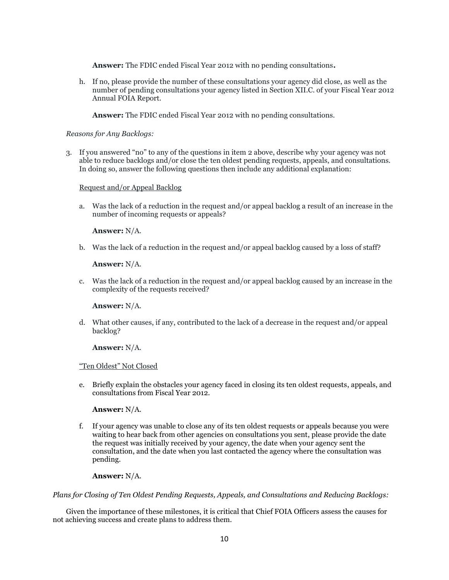**Answer:** The FDIC ended Fiscal Year 2012 with no pending consultations**.** 

h. If no, please provide the number of these consultations your agency did close, as well as the number of pending consultations your agency listed in Section XII.C. of your Fiscal Year 2012 Annual FOIA Report.

**Answer:** The FDIC ended Fiscal Year 2012 with no pending consultations.

## *Reasons for Any Backlogs:*

3. If you answered "no" to any of the questions in item 2 above, describe why your agency was not able to reduce backlogs and/or close the ten oldest pending requests, appeals, and consultations. In doing so, answer the following questions then include any additional explanation:

## Request and/or Appeal Backlog

a. Was the lack of a reduction in the request and/or appeal backlog a result of an increase in the number of incoming requests or appeals?

## **Answer:** N/A.

b. Was the lack of a reduction in the request and/or appeal backlog caused by a loss of staff?

## **Answer:** N/A.

c. Was the lack of a reduction in the request and/or appeal backlog caused by an increase in the complexity of the requests received?

### **Answer:** N/A.

d. What other causes, if any, contributed to the lack of a decrease in the request and/or appeal backlog?

### **Answer:** N/A.

### "Ten Oldest" Not Closed

e. Briefly explain the obstacles your agency faced in closing its ten oldest requests, appeals, and consultations from Fiscal Year 2012.

### **Answer:** N/A.

f. If your agency was unable to close any of its ten oldest requests or appeals because you were waiting to hear back from other agencies on consultations you sent, please provide the date the request was initially received by your agency, the date when your agency sent the consultation, and the date when you last contacted the agency where the consultation was pending.

### **Answer:** N/A.

### *Plans for Closing of Ten Oldest Pending Requests, Appeals, and Consultations and Reducing Backlogs:*

Given the importance of these milestones, it is critical that Chief FOIA Officers assess the causes for not achieving success and create plans to address them.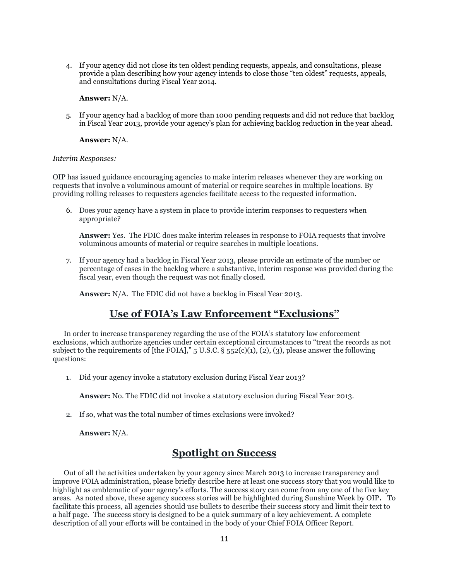4. If your agency did not close its ten oldest pending requests, appeals, and consultations, please provide a plan describing how your agency intends to close those "ten oldest" requests, appeals, and consultations during Fiscal Year 2014.

#### **Answer:** N/A.

5. If your agency had a backlog of more than 1000 pending requests and did not reduce that backlog in Fiscal Year 2013, provide your agency's plan for achieving backlog reduction in the year ahead.

#### **Answer:** N/A.

#### *Interim Responses:*

OIP has issued guidance encouraging agencies to make interim releases whenever they are working on requests that involve a voluminous amount of material or require searches in multiple locations. By providing rolling releases to requesters agencies facilitate access to the requested information.

6. Does your agency have a system in place to provide interim responses to requesters when appropriate?

**Answer:** Yes. The FDIC does make interim releases in response to FOIA requests that involve voluminous amounts of material or require searches in multiple locations.

7. If your agency had a backlog in Fiscal Year 2013, please provide an estimate of the number or percentage of cases in the backlog where a substantive, interim response was provided during the fiscal year, even though the request was not finally closed.

**Answer:** N/A. The FDIC did not have a backlog in Fiscal Year 2013.

# **Use of FOIA's Law Enforcement "Exclusions"**

In order to increase transparency regarding the use of the FOIA's statutory law enforcement exclusions, which authorize agencies under certain exceptional circumstances to "treat the records as not subject to the requirements of [the FOIA],"  $5 \text{ U.S.C.}$   $\S$   $552(c)(1)$ , (2), (3), please answer the following questions:

1. Did your agency invoke a statutory exclusion during Fiscal Year 2013?

**Answer:** No. The FDIC did not invoke a statutory exclusion during Fiscal Year 2013.

2. If so, what was the total number of times exclusions were invoked?

**Answer:** N/A.

## **Spotlight on Success**

Out of all the activities undertaken by your agency since March 2013 to increase transparency and improve FOIA administration, please briefly describe here at least one success story that you would like to highlight as emblematic of your agency's efforts. The success story can come from any one of the five key areas. As noted above, these agency success stories will be highlighted during Sunshine Week by OIP**.** To facilitate this process, all agencies should use bullets to describe their success story and limit their text to a half page. The success story is designed to be a quick summary of a key achievement. A complete description of all your efforts will be contained in the body of your Chief FOIA Officer Report.